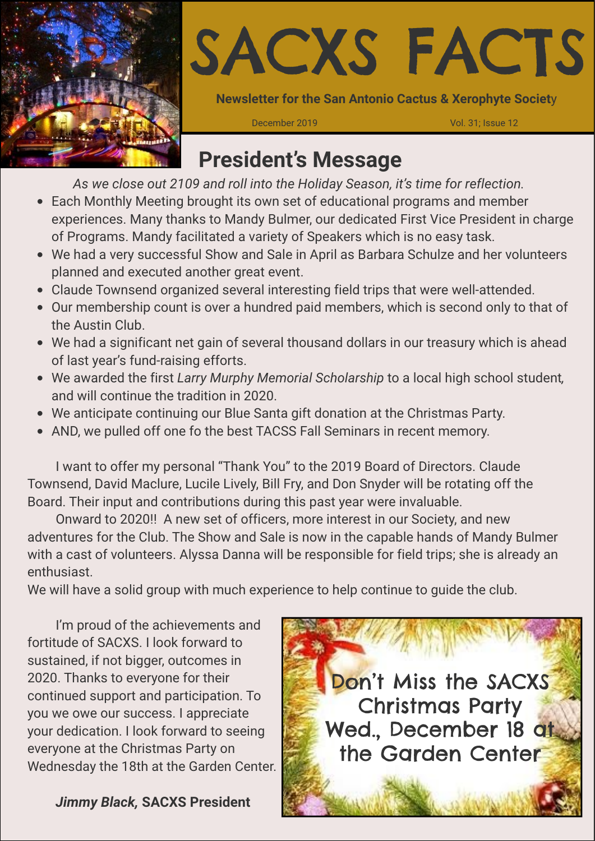



**Newsletter for the San Antonio Cactus & Xerophyte Societ**y

December 2019 Vol. 31; Issue 12

## **President's Message**

*As we close out 2109 and roll into the Holiday Season, it's time for reflection.* 

- Each Monthly Meeting brought its own set of educational programs and member experiences. Many thanks to Mandy Bulmer, our dedicated First Vice President in charge of Programs. Mandy facilitated a variety of Speakers which is no easy task.
- We had a very successful Show and Sale in April as Barbara Schulze and her volunteers planned and executed another great event.
- Claude Townsend organized several interesting field trips that were well-attended.
- Our membership count is over a hundred paid members, which is second only to that of the Austin Club.
- We had a significant net gain of several thousand dollars in our treasury which is ahead of last year's fund-raising efforts.
- We awarded the first *Larry Murphy Memorial Scholarship* to a local high school student*,*  and will continue the tradition in 2020.
- We anticipate continuing our Blue Santa gift donation at the Christmas Party.
- AND, we pulled off one fo the best TACSS Fall Seminars in recent memory.

I want to offer my personal "Thank You" to the 2019 Board of Directors. Claude Townsend, David Maclure, Lucile Lively, Bill Fry, and Don Snyder will be rotating off the Board. Their input and contributions during this past year were invaluable.

Onward to 2020!! A new set of officers, more interest in our Society, and new adventures for the Club. The Show and Sale is now in the capable hands of Mandy Bulmer with a cast of volunteers. Alyssa Danna will be responsible for field trips; she is already an enthusiast.

We will have a solid group with much experience to help continue to guide the club.

I'm proud of the achievements and fortitude of SACXS. I look forward to sustained, if not bigger, outcomes in 2020. Thanks to everyone for their continued support and participation. To you we owe our success. I appreciate your dedication. I look forward to seeing everyone at the Christmas Party on Wednesday the 18th at the Garden Center.

*Jimmy Black,* **SACXS President**

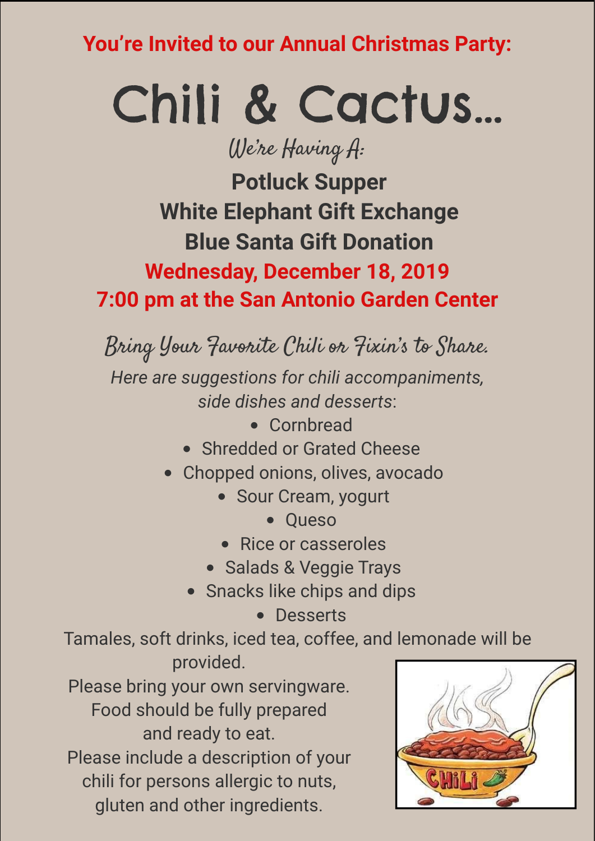**You're Invited to our Annual Christmas Party:**

# Chili & Cactus…

We're Having A:

**Wednesday, December 18, 2019 7:00 pm at the San Antonio Garden Center Potluck Supper White Elephant Gift Exchange Blue Santa Gift Donation**

Bring Your Favorite Chili or Fixin's to Share.

*Here are suggestions for chili accompaniments, side dishes and desserts*:

- Cornbread
- Shredded or Grated Cheese
- Chopped onions, olives, avocado
	- Sour Cream, yogurt
		- Queso
	- Rice or casseroles
	- Salads & Veggie Trays
	- Snacks like chips and dips
		- Desserts

Tamales, soft drinks, iced tea, coffee, and lemonade will be provided.

Please bring your own servingware. Food should be fully prepared and ready to eat. Please include a description of your chili for persons allergic to nuts, gluten and other ingredients.

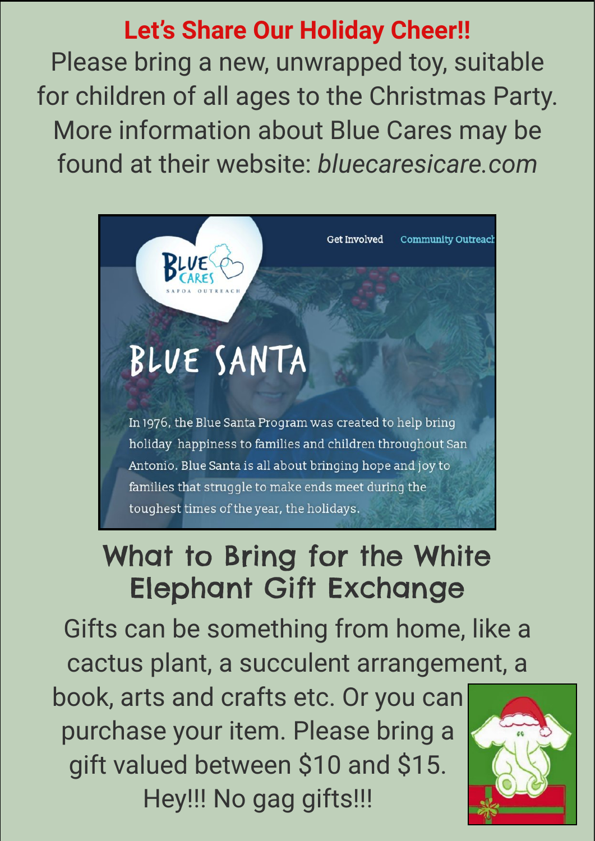# **Let's Share Our Holiday Cheer!!**

Please bring a new, unwrapped toy, suitable for children of all ages to the Christmas Party. More information about Blue Cares may be found at their website: *bluecaresicare.com*



# What to Bring for the White Elephant Gift Exchange

Gifts can be something from home, like a cactus plant, a succulent arrangement, a

book, arts and crafts etc. Or you can purchase your item. Please bring a gift valued between \$10 and \$15. Hey!!! No gag gifts!!!